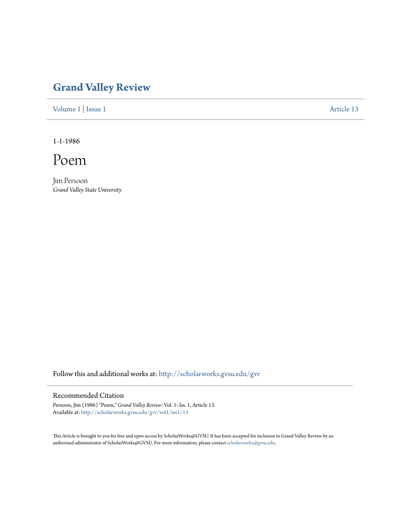## **[Grand Valley Review](http://scholarworks.gvsu.edu/gvr?utm_source=scholarworks.gvsu.edu%2Fgvr%2Fvol1%2Fiss1%2F13&utm_medium=PDF&utm_campaign=PDFCoverPages)**

[Volume 1](http://scholarworks.gvsu.edu/gvr/vol1?utm_source=scholarworks.gvsu.edu%2Fgvr%2Fvol1%2Fiss1%2F13&utm_medium=PDF&utm_campaign=PDFCoverPages) | [Issue 1](http://scholarworks.gvsu.edu/gvr/vol1/iss1?utm_source=scholarworks.gvsu.edu%2Fgvr%2Fvol1%2Fiss1%2F13&utm_medium=PDF&utm_campaign=PDFCoverPages) [Article 13](http://scholarworks.gvsu.edu/gvr/vol1/iss1/13?utm_source=scholarworks.gvsu.edu%2Fgvr%2Fvol1%2Fiss1%2F13&utm_medium=PDF&utm_campaign=PDFCoverPages)

1-1-1986

Poem

Jim Persoon *Grand Valley State University*

Follow this and additional works at: [http://scholarworks.gvsu.edu/gvr](http://scholarworks.gvsu.edu/gvr?utm_source=scholarworks.gvsu.edu%2Fgvr%2Fvol1%2Fiss1%2F13&utm_medium=PDF&utm_campaign=PDFCoverPages)

## Recommended Citation

Persoon, Jim (1986) "Poem," *Grand Valley Review*: Vol. 1: Iss. 1, Article 13. Available at: [http://scholarworks.gvsu.edu/gvr/vol1/iss1/13](http://scholarworks.gvsu.edu/gvr/vol1/iss1/13?utm_source=scholarworks.gvsu.edu%2Fgvr%2Fvol1%2Fiss1%2F13&utm_medium=PDF&utm_campaign=PDFCoverPages)

This Article is brought to you for free and open access by ScholarWorks@GVSU. It has been accepted for inclusion in Grand Valley Review by an authorized administrator of ScholarWorks@GVSU. For more information, please contact [scholarworks@gvsu.edu.](mailto:scholarworks@gvsu.edu)